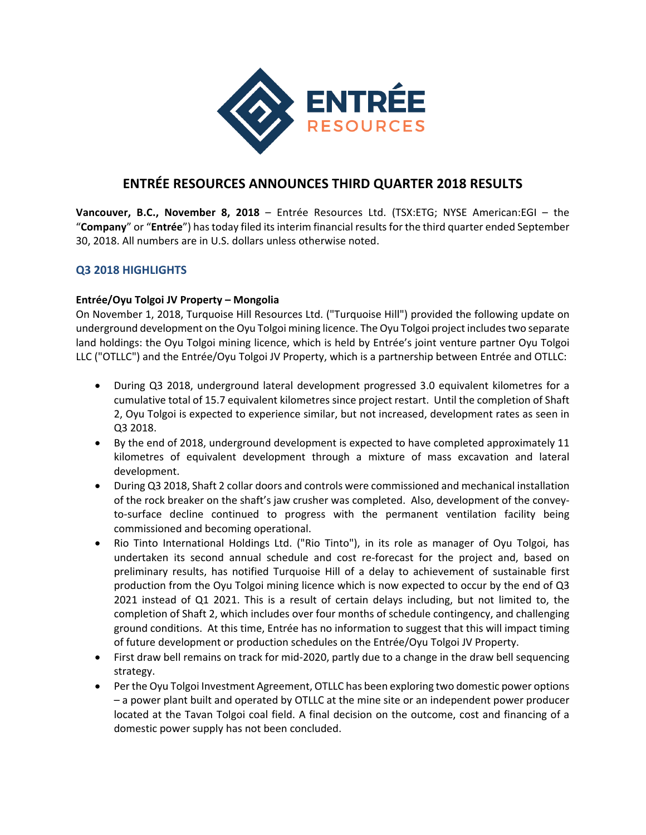

# **ENTRÉE RESOURCES ANNOUNCES THIRD QUARTER 2018 RESULTS**

**Vancouver, B.C., November 8, 2018** – Entrée Resources Ltd. (TSX:ETG; NYSE American:EGI – the "**Company**" or "**Entrée**") hastoday filed itsinterim financial resultsfor the third quarter ended September 30, 2018. All numbers are in U.S. dollars unless otherwise noted.

## **Q3 2018 HIGHLIGHTS**

#### **Entrée/Oyu Tolgoi JV Property – Mongolia**

On November 1, 2018, Turquoise Hill Resources Ltd. ("Turquoise Hill") provided the following update on underground development on the Oyu Tolgoi mining licence. The Oyu Tolgoi project includes two separate land holdings: the Oyu Tolgoi mining licence, which is held by Entrée's joint venture partner Oyu Tolgoi LLC ("OTLLC") and the Entrée/Oyu Tolgoi JV Property, which is a partnership between Entrée and OTLLC:

- During Q3 2018, underground lateral development progressed 3.0 equivalent kilometres for a cumulative total of 15.7 equivalent kilometres since project restart. Until the completion of Shaft 2, Oyu Tolgoi is expected to experience similar, but not increased, development rates as seen in Q3 2018.
- By the end of 2018, underground development is expected to have completed approximately 11 kilometres of equivalent development through a mixture of mass excavation and lateral development.
- During Q3 2018, Shaft 2 collar doors and controls were commissioned and mechanical installation of the rock breaker on the shaft's jaw crusher was completed. Also, development of the convey‐ to-surface decline continued to progress with the permanent ventilation facility being commissioned and becoming operational.
- Rio Tinto International Holdings Ltd. ("Rio Tinto"), in its role as manager of Oyu Tolgoi, has undertaken its second annual schedule and cost re‐forecast for the project and, based on preliminary results, has notified Turquoise Hill of a delay to achievement of sustainable first production from the Oyu Tolgoi mining licence which is now expected to occur by the end of Q3 2021 instead of Q1 2021. This is a result of certain delays including, but not limited to, the completion of Shaft 2, which includes over four months of schedule contingency, and challenging ground conditions. At this time, Entrée has no information to suggest that this will impact timing of future development or production schedules on the Entrée/Oyu Tolgoi JV Property.
- First draw bell remains on track for mid‐2020, partly due to a change in the draw bell sequencing strategy.
- Per the Oyu Tolgoi Investment Agreement, OTLLC has been exploring two domestic power options – a power plant built and operated by OTLLC at the mine site or an independent power producer located at the Tavan Tolgoi coal field. A final decision on the outcome, cost and financing of a domestic power supply has not been concluded.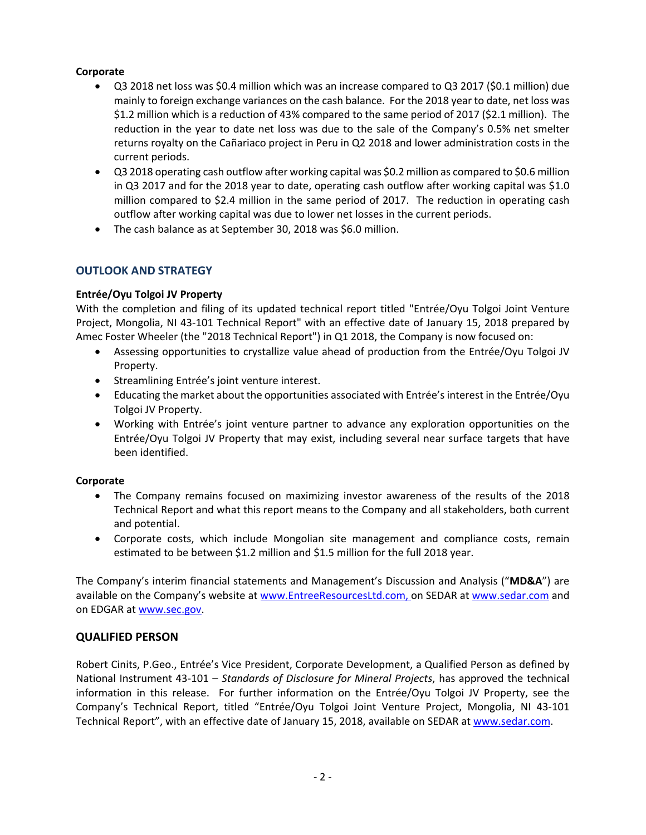## **Corporate**

- Q3 2018 net loss was \$0.4 million which was an increase compared to Q3 2017 (\$0.1 million) due mainly to foreign exchange variances on the cash balance. For the 2018 year to date, net loss was \$1.2 million which is a reduction of 43% compared to the same period of 2017 (\$2.1 million). The reduction in the year to date net loss was due to the sale of the Company's 0.5% net smelter returns royalty on the Cañariaco project in Peru in Q2 2018 and lower administration costs in the current periods.
- Q3 2018 operating cash outflow after working capital was \$0.2 million as compared to \$0.6 million in Q3 2017 and for the 2018 year to date, operating cash outflow after working capital was \$1.0 million compared to \$2.4 million in the same period of 2017. The reduction in operating cash outflow after working capital was due to lower net losses in the current periods.
- The cash balance as at September 30, 2018 was \$6.0 million.

# **OUTLOOK AND STRATEGY**

## **Entrée/Oyu Tolgoi JV Property**

With the completion and filing of its updated technical report titled "Entrée/Oyu Tolgoi Joint Venture Project, Mongolia, NI 43‐101 Technical Report" with an effective date of January 15, 2018 prepared by Amec Foster Wheeler (the "2018 Technical Report") in Q1 2018, the Company is now focused on:

- Assessing opportunities to crystallize value ahead of production from the Entrée/Oyu Tolgoi JV Property.
- Streamlining Entrée's joint venture interest.
- Educating the market about the opportunities associated with Entrée's interest in the Entrée/Oyu Tolgoi JV Property.
- Working with Entrée's joint venture partner to advance any exploration opportunities on the Entrée/Oyu Tolgoi JV Property that may exist, including several near surface targets that have been identified.

## **Corporate**

- The Company remains focused on maximizing investor awareness of the results of the 2018 Technical Report and what this report means to the Company and all stakeholders, both current and potential.
- Corporate costs, which include Mongolian site management and compliance costs, remain estimated to be between \$1.2 million and \$1.5 million for the full 2018 year.

The Company's interim financial statements and Management's Discussion and Analysis ("**MD&A**") are available on the Company's website at www.EntreeResourcesLtd.com, on SEDAR at www.sedar.com and on EDGAR at www.sec.gov.

## **QUALIFIED PERSON**

Robert Cinits, P.Geo., Entrée's Vice President, Corporate Development, a Qualified Person as defined by National Instrument 43‐101 – *Standards of Disclosure for Mineral Projects*, has approved the technical information in this release. For further information on the Entrée/Oyu Tolgoi JV Property, see the Company's Technical Report, titled "Entrée/Oyu Tolgoi Joint Venture Project, Mongolia, NI 43‐101 Technical Report", with an effective date of January 15, 2018, available on SEDAR at www.sedar.com.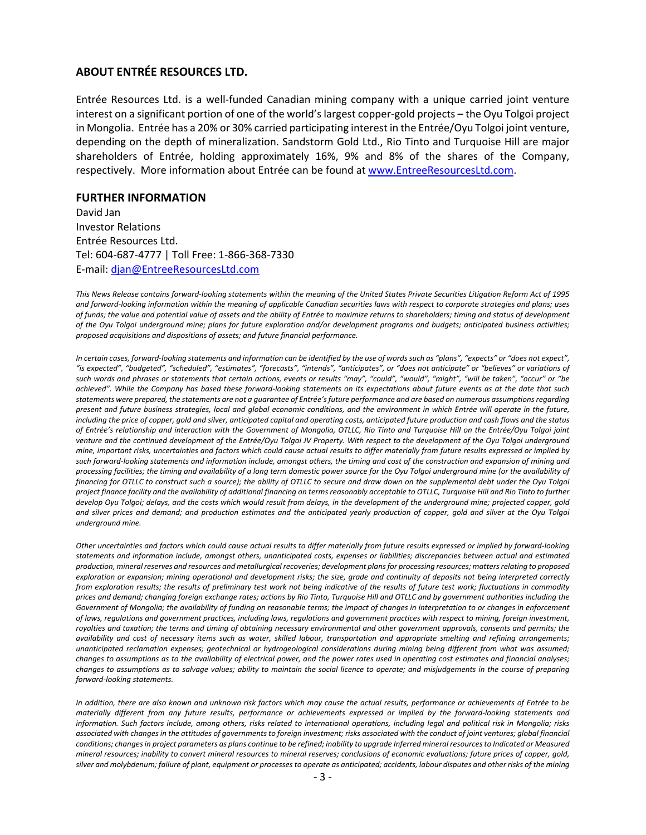#### **ABOUT ENTRÉE RESOURCES LTD.**

Entrée Resources Ltd. is a well‐funded Canadian mining company with a unique carried joint venture interest on a significant portion of one of the world'slargest copper‐gold projects – the Oyu Tolgoi project in Mongolia. Entrée has a 20% or 30% carried participating interest in the Entrée/Oyu Tolgoi joint venture, depending on the depth of mineralization. Sandstorm Gold Ltd., Rio Tinto and Turquoise Hill are major shareholders of Entrée, holding approximately 16%, 9% and 8% of the shares of the Company, respectively. More information about Entrée can be found at www.EntreeResourcesLtd.com.

#### **FURTHER INFORMATION**

David Jan Investor Relations Entrée Resources Ltd. Tel: 604‐687‐4777 | Toll Free: 1‐866‐368‐7330 E‐mail: djan@EntreeResourcesLtd.com

This News Release contains forward-looking statements within the meaning of the United States Private Securities Litigation Reform Act of 1995 and forward-looking information within the meaning of applicable Canadian securities laws with respect to corporate strategies and plans; uses of funds; the value and potential value of assets and the ability of Entrée to maximize returns to shareholders; timing and status of development of the Oyu Tolgoi underground mine; plans for future exploration and/or development programs and budgets; anticipated business activities; *proposed acquisitions and dispositions of assets; and future financial performance.*

In certain cases, forward-looking statements and information can be identified by the use of words such as "plans", "expects" or "does not expect", "is expected", "budgeted", "scheduled", "estimates", "forecasts", "intends", "anticipates", or "does not anticipate" or "believes" or variations of such words and phrases or statements that certain actions, events or results "may", "could", "would", "might", "will be taken", "occur" or "be achieved". While the Company has based these forward-looking statements on its expectations about future events as at the date that such statements were prepared, the statements are not a guarantee of Entrée's future performance and are based on numerous assumptions regarding present and future business strategies, local and global economic conditions, and the environment in which Entrée will operate in the future, including the price of copper, gold and silver, anticipated capital and operating costs, anticipated future production and cash flows and the status of Entrée's relationship and interaction with the Government of Mongolia, OTLLC, Rio Tinto and Turquoise Hill on the Entrée/Oyu Tolgoi joint venture and the continued development of the Entrée/Oyu Tolgoi JV Property. With respect to the development of the Oyu Tolgoi underground mine, important risks, uncertainties and factors which could cause actual results to differ materially from future results expressed or implied by such forward-looking statements and information include, amongst others, the timing and cost of the construction and expansion of mining and processing facilities; the timing and availability of a long term domestic power source for the Oyu Tolgoi underground mine (or the availability of financing for OTLLC to construct such a source); the ability of OTLLC to secure and draw down on the supplemental debt under the Oyu Tolgoi project finance facility and the availability of additional financing on terms reasonably acceptable to OTLLC, Turquoise Hill and Rio Tinto to further develop Oyu Tolgoi; delays, and the costs which would result from delays, in the development of the underground mine; projected copper, gold and silver prices and demand; and production estimates and the anticipated yearly production of copper, gold and silver at the Oyu Tolgoi *underground mine.* 

Other uncertainties and factors which could cause actual results to differ materially from future results expressed or implied by forward-looking statements and information include, amongst others, unanticipated costs, expenses or liabilities; discrepancies between actual and estimated production, mineral reserves and resources and metallurgical recoveries; development plans for processing resources; matters relating to proposed exploration or expansion; mining operational and development risks; the size, grade and continuity of deposits not being interpreted correctly from exploration results; the results of preliminary test work not being indicative of the results of future test work; fluctuations in commodity prices and demand; changing foreign exchange rates; actions by Rio Tinto, Turquoise Hill and OTLLC and by government authorities including the Government of Mongolia; the availability of funding on reasonable terms; the impact of changes in interpretation to or changes in enforcement of laws, requlations and government practices, including laws, requlations and government practices with respect to mining, foreign investment, royalties and taxation; the terms and timing of obtaining necessary environmental and other government approvals, consents and permits; the availability and cost of necessary items such as water, skilled labour, transportation and appropriate smelting and refining arrangements; unanticipated reclamation expenses; geotechnical or hydrogeological considerations during mining being different from what was assumed; changes to assumptions as to the availability of electrical power, and the power rates used in operating cost estimates and financial analyses; changes to assumptions as to salvage values; ability to maintain the social licence to operate; and misjudgements in the course of preparing *forward‐looking statements.* 

In addition, there are also known and unknown risk factors which may cause the actual results, performance or achievements of Entrée to be materially different from any future results, performance or achievements expressed or implied by the forward-looking statements and information. Such factors include, among others, risks related to international operations, including legal and political risk in Mongolia; risks associated with changes in the attitudes of governments to foreign investment; risks associated with the conduct of joint ventures; global financial conditions; changes in project parameters as plans continue to be refined; inability to upgrade Inferred mineral resources to Indicated or Measured mineral resources; inability to convert mineral resources to mineral reserves; conclusions of economic evaluations; future prices of copper, gold, silver and molybdenum; failure of plant, equipment or processes to operate as anticipated; accidents, labour disputes and other risks of the mining